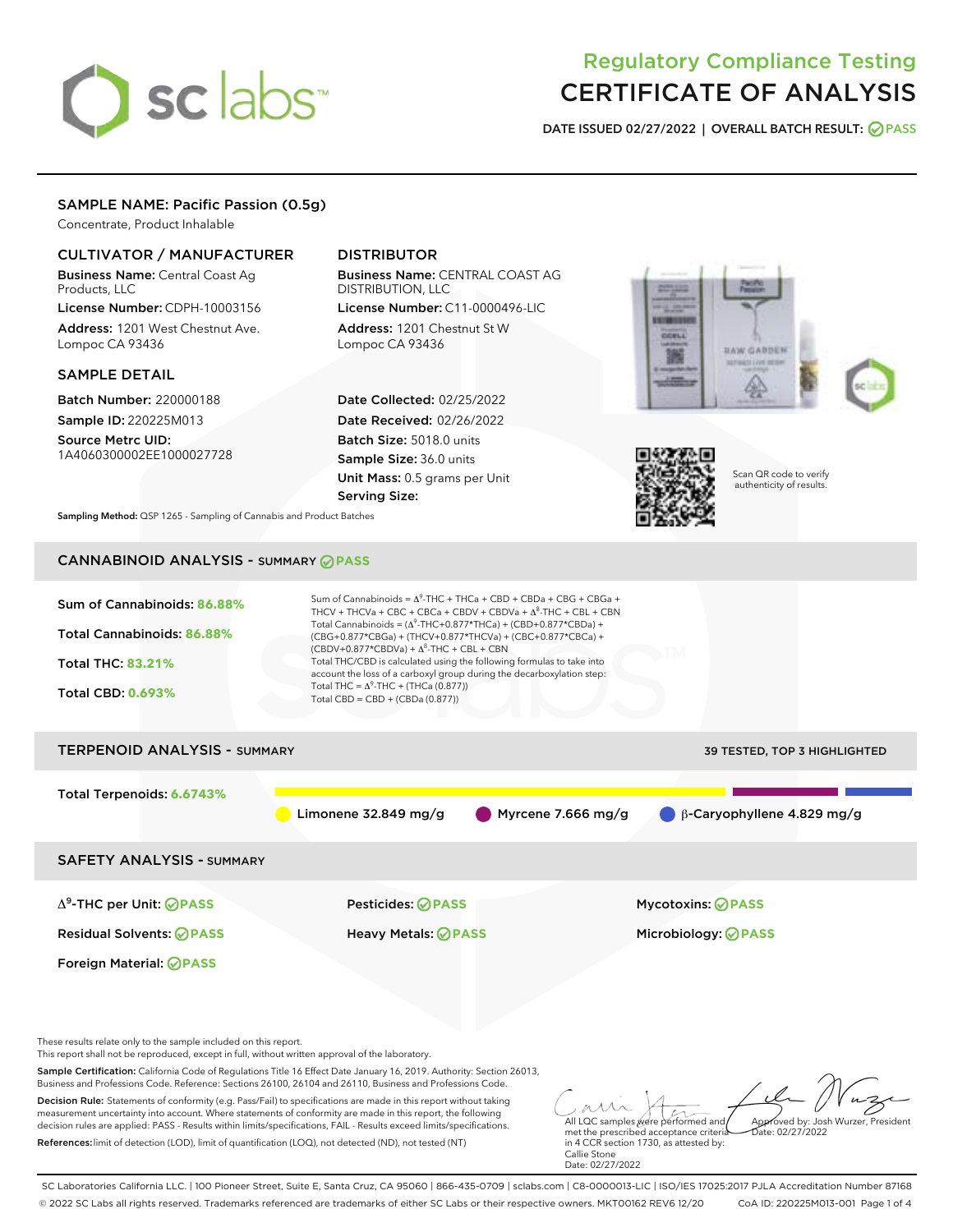# sclabs<sup>\*</sup>

# Regulatory Compliance Testing CERTIFICATE OF ANALYSIS

DATE ISSUED 02/27/2022 | OVERALL BATCH RESULT: @ PASS

### SAMPLE NAME: Pacific Passion (0.5g)

Concentrate, Product Inhalable

# CULTIVATOR / MANUFACTURER

Business Name: Central Coast Ag Products, LLC License Number: CDPH-10003156

Address: 1201 West Chestnut Ave. Lompoc CA 93436

#### SAMPLE DETAIL

Batch Number: 220000188 Sample ID: 220225M013

Source Metrc UID: 1A4060300002EE1000027728

# DISTRIBUTOR

Business Name: CENTRAL COAST AG DISTRIBUTION, LLC

License Number: C11-0000496-LIC Address: 1201 Chestnut St W Lompoc CA 93436

Date Collected: 02/25/2022 Date Received: 02/26/2022 Batch Size: 5018.0 units Sample Size: 36.0 units Unit Mass: 0.5 grams per Unit Serving Size:





Scan QR code to verify authenticity of results.

Sampling Method: QSP 1265 - Sampling of Cannabis and Product Batches

# CANNABINOID ANALYSIS - SUMMARY **PASS**



SC Laboratories California LLC. | 100 Pioneer Street, Suite E, Santa Cruz, CA 95060 | 866-435-0709 | sclabs.com | C8-0000013-LIC | ISO/IES 17025:2017 PJLA Accreditation Number 87168 © 2022 SC Labs all rights reserved. Trademarks referenced are trademarks of either SC Labs or their respective owners. MKT00162 REV6 12/20 CoA ID: 220225M013-001 Page 1 of 4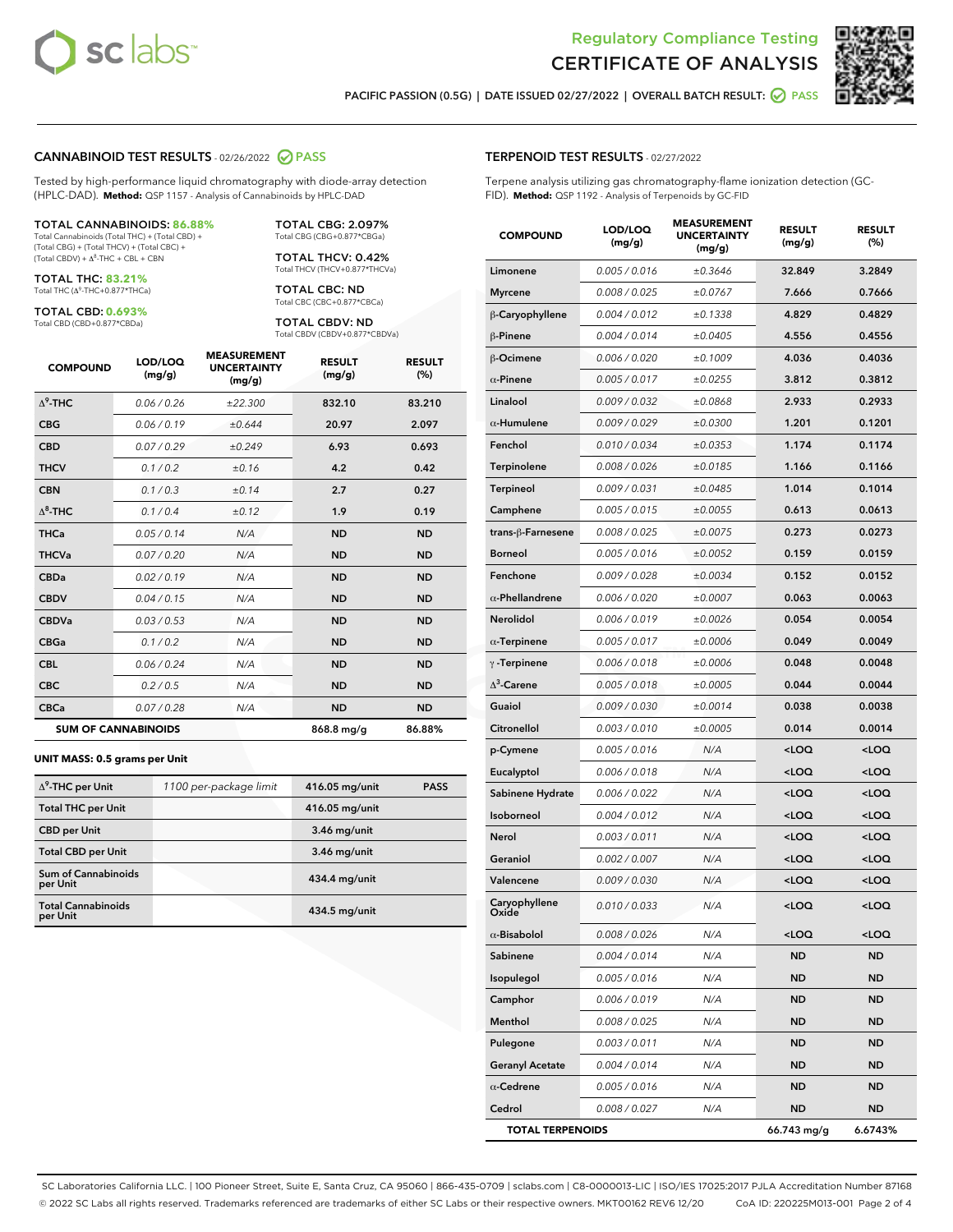



PACIFIC PASSION (0.5G) | DATE ISSUED 02/27/2022 | OVERALL BATCH RESULT:  $\bigcirc$  PASS

#### CANNABINOID TEST RESULTS - 02/26/2022 2 PASS

Tested by high-performance liquid chromatography with diode-array detection (HPLC-DAD). **Method:** QSP 1157 - Analysis of Cannabinoids by HPLC-DAD

#### TOTAL CANNABINOIDS: **86.88%**

Total Cannabinoids (Total THC) + (Total CBD) + (Total CBG) + (Total THCV) + (Total CBC) +  $(Total$  CBDV) +  $\Delta$ <sup>8</sup>-THC + CBL + CBN

TOTAL THC: **83.21%** Total THC (Δ<sup>9</sup> -THC+0.877\*THCa)

TOTAL CBD: **0.693%**

Total CBD (CBD+0.877\*CBDa)

TOTAL CBG: 2.097% Total CBG (CBG+0.877\*CBGa)

TOTAL THCV: 0.42% Total THCV (THCV+0.877\*THCVa)

TOTAL CBC: ND Total CBC (CBC+0.877\*CBCa)

TOTAL CBDV: ND Total CBDV (CBDV+0.877\*CBDVa)

| <b>COMPOUND</b>  | LOD/LOQ<br>(mg/g)          | <b>MEASUREMENT</b><br><b>UNCERTAINTY</b><br>(mg/g) | <b>RESULT</b><br>(mg/g) | <b>RESULT</b><br>(%) |
|------------------|----------------------------|----------------------------------------------------|-------------------------|----------------------|
| $\Lambda^9$ -THC | 0.06 / 0.26                | ±22.300                                            | 832.10                  | 83.210               |
| <b>CBG</b>       | 0.06/0.19                  | ±0.644                                             | 20.97                   | 2.097                |
| <b>CBD</b>       | 0.07/0.29                  | ±0.249                                             | 6.93                    | 0.693                |
| <b>THCV</b>      | 0.1/0.2                    | ±0.16                                              | 4.2                     | 0.42                 |
| <b>CBN</b>       | 0.1/0.3                    | ±0.14                                              | 2.7                     | 0.27                 |
| $\Delta^8$ -THC  | 0.1/0.4                    | ±0.12                                              | 1.9                     | 0.19                 |
| <b>THCa</b>      | 0.05/0.14                  | N/A                                                | <b>ND</b>               | <b>ND</b>            |
| <b>THCVa</b>     | 0.07/0.20                  | N/A                                                | <b>ND</b>               | <b>ND</b>            |
| <b>CBDa</b>      | 0.02/0.19                  | N/A                                                | <b>ND</b>               | <b>ND</b>            |
| <b>CBDV</b>      | 0.04 / 0.15                | N/A                                                | <b>ND</b>               | <b>ND</b>            |
| <b>CBDVa</b>     | 0.03/0.53                  | N/A                                                | <b>ND</b>               | <b>ND</b>            |
| <b>CBGa</b>      | 0.1/0.2                    | N/A                                                | <b>ND</b>               | <b>ND</b>            |
| <b>CBL</b>       | 0.06 / 0.24                | N/A                                                | <b>ND</b>               | <b>ND</b>            |
| <b>CBC</b>       | 0.2 / 0.5                  | N/A                                                | <b>ND</b>               | <b>ND</b>            |
| <b>CBCa</b>      | 0.07/0.28                  | N/A                                                | <b>ND</b>               | <b>ND</b>            |
|                  | <b>SUM OF CANNABINOIDS</b> |                                                    | 868.8 mg/g              | 86.88%               |

#### **UNIT MASS: 0.5 grams per Unit**

| $\Delta^9$ -THC per Unit               | 1100 per-package limit | 416.05 mg/unit | <b>PASS</b> |
|----------------------------------------|------------------------|----------------|-------------|
| <b>Total THC per Unit</b>              |                        | 416.05 mg/unit |             |
| <b>CBD per Unit</b>                    |                        | $3.46$ mg/unit |             |
| <b>Total CBD per Unit</b>              |                        | $3.46$ mg/unit |             |
| <b>Sum of Cannabinoids</b><br>per Unit |                        | 434.4 mg/unit  |             |
| <b>Total Cannabinoids</b><br>per Unit  |                        | 434.5 mg/unit  |             |

| <b>COMPOUND</b>         | LOD/LOQ<br>(mg/g) | <b>MEASUREMENT</b><br><b>UNCERTAINTY</b><br>(mg/g) | <b>RESULT</b><br>(mg/g)                         | <b>RESULT</b><br>(%) |
|-------------------------|-------------------|----------------------------------------------------|-------------------------------------------------|----------------------|
| Limonene                | 0.005 / 0.016     | ±0.3646                                            | 32.849                                          | 3.2849               |
| <b>Myrcene</b>          | 0.008 / 0.025     | ±0.0767                                            | 7.666                                           | 0.7666               |
| β-Caryophyllene         | 0.004 / 0.012     | ±0.1338                                            | 4.829                                           | 0.4829               |
| $\beta$ -Pinene         | 0.004 / 0.014     | ±0.0405                                            | 4.556                                           | 0.4556               |
| β-Ocimene               | 0.006 / 0.020     | ±0.1009                                            | 4.036                                           | 0.4036               |
| $\alpha$ -Pinene        | 0.005 / 0.017     | ±0.0255                                            | 3.812                                           | 0.3812               |
| Linalool                | 0.009 / 0.032     | ±0.0868                                            | 2.933                                           | 0.2933               |
| $\alpha$ -Humulene      | 0.009 / 0.029     | ±0.0300                                            | 1.201                                           | 0.1201               |
| Fenchol                 | 0.010 / 0.034     | ±0.0353                                            | 1.174                                           | 0.1174               |
| Terpinolene             | 0.008 / 0.026     | ±0.0185                                            | 1.166                                           | 0.1166               |
| <b>Terpineol</b>        | 0.009 / 0.031     | ±0.0485                                            | 1.014                                           | 0.1014               |
| Camphene                | 0.005 / 0.015     | ±0.0055                                            | 0.613                                           | 0.0613               |
| trans-ß-Farnesene       | 0.008 / 0.025     | ±0.0075                                            | 0.273                                           | 0.0273               |
| <b>Borneol</b>          | 0.005 / 0.016     | ±0.0052                                            | 0.159                                           | 0.0159               |
| Fenchone                | 0.009 / 0.028     | ±0.0034                                            | 0.152                                           | 0.0152               |
| $\alpha$ -Phellandrene  | 0.006 / 0.020     | ±0.0007                                            | 0.063                                           | 0.0063               |
| Nerolidol               | 0.006 / 0.019     | ±0.0026                                            | 0.054                                           | 0.0054               |
| $\alpha$ -Terpinene     | 0.005 / 0.017     | ±0.0006                                            | 0.049                                           | 0.0049               |
| $\gamma$ -Terpinene     | 0.006 / 0.018     | ±0.0006                                            | 0.048                                           | 0.0048               |
| $\Delta^3$ -Carene      | 0.005 / 0.018     | ±0.0005                                            | 0.044                                           | 0.0044               |
| Guaiol                  | 0.009 / 0.030     | ±0.0014                                            | 0.038                                           | 0.0038               |
| Citronellol             | 0.003 / 0.010     | ±0.0005                                            | 0.014                                           | 0.0014               |
| p-Cymene                | 0.005 / 0.016     | N/A                                                | <loq< th=""><th><loq< th=""></loq<></th></loq<> | <loq< th=""></loq<>  |
| Eucalyptol              | 0.006 / 0.018     | N/A                                                | <loq< th=""><th><loq< th=""></loq<></th></loq<> | <loq< th=""></loq<>  |
| Sabinene Hydrate        | 0.006 / 0.022     | N/A                                                | <loq< th=""><th><loq< th=""></loq<></th></loq<> | <loq< th=""></loq<>  |
| Isoborneol              | 0.004 / 0.012     | N/A                                                | <loq< th=""><th><loq< th=""></loq<></th></loq<> | <loq< th=""></loq<>  |
| Nerol                   | 0.003 / 0.011     | N/A                                                | <loq< th=""><th><loq< th=""></loq<></th></loq<> | <loq< th=""></loq<>  |
| Geraniol                | 0.002 / 0.007     | N/A                                                | <loq< th=""><th><loq< th=""></loq<></th></loq<> | <loq< th=""></loq<>  |
| Valencene               | 0.009 / 0.030     | N/A                                                | <loq< th=""><th><loq< th=""></loq<></th></loq<> | <loq< th=""></loq<>  |
| Caryophyllene           | 0.010 / 0.033     | N/A                                                | <loq< th=""><th><loq< th=""></loq<></th></loq<> | <loq< th=""></loq<>  |
| $\alpha$ -Bisabolol     | 0.008 / 0.026     | N/A                                                | <loq< th=""><th>100</th></loq<>                 | 100                  |
| Sabinene                | 0.004 / 0.014     | N/A                                                | ND                                              | ND                   |
| Isopulegol              | 0.005 / 0.016     | N/A                                                | ND                                              | ND                   |
| Camphor                 | 0.006 / 0.019     | N/A                                                | ND                                              | ND                   |
| Menthol                 | 0.008 / 0.025     | N/A                                                | ND                                              | ND                   |
| Pulegone                | 0.003 / 0.011     | N/A                                                | ND                                              | ND                   |
| <b>Geranyl Acetate</b>  | 0.004 / 0.014     | N/A                                                | ND                                              | ND                   |
| $\alpha$ -Cedrene       | 0.005 / 0.016     | N/A                                                | ND                                              | ND                   |
| Cedrol                  | 0.008 / 0.027     | N/A                                                | ND                                              | ND                   |
| <b>TOTAL TERPENOIDS</b> |                   |                                                    | 66.743 mg/g                                     | 6.6743%              |

SC Laboratories California LLC. | 100 Pioneer Street, Suite E, Santa Cruz, CA 95060 | 866-435-0709 | sclabs.com | C8-0000013-LIC | ISO/IES 17025:2017 PJLA Accreditation Number 87168 © 2022 SC Labs all rights reserved. Trademarks referenced are trademarks of either SC Labs or their respective owners. MKT00162 REV6 12/20 CoA ID: 220225M013-001 Page 2 of 4

# TERPENOID TEST RESULTS - 02/27/2022

Terpene analysis utilizing gas chromatography-flame ionization detection (GC-FID). **Method:** QSP 1192 - Analysis of Terpenoids by GC-FID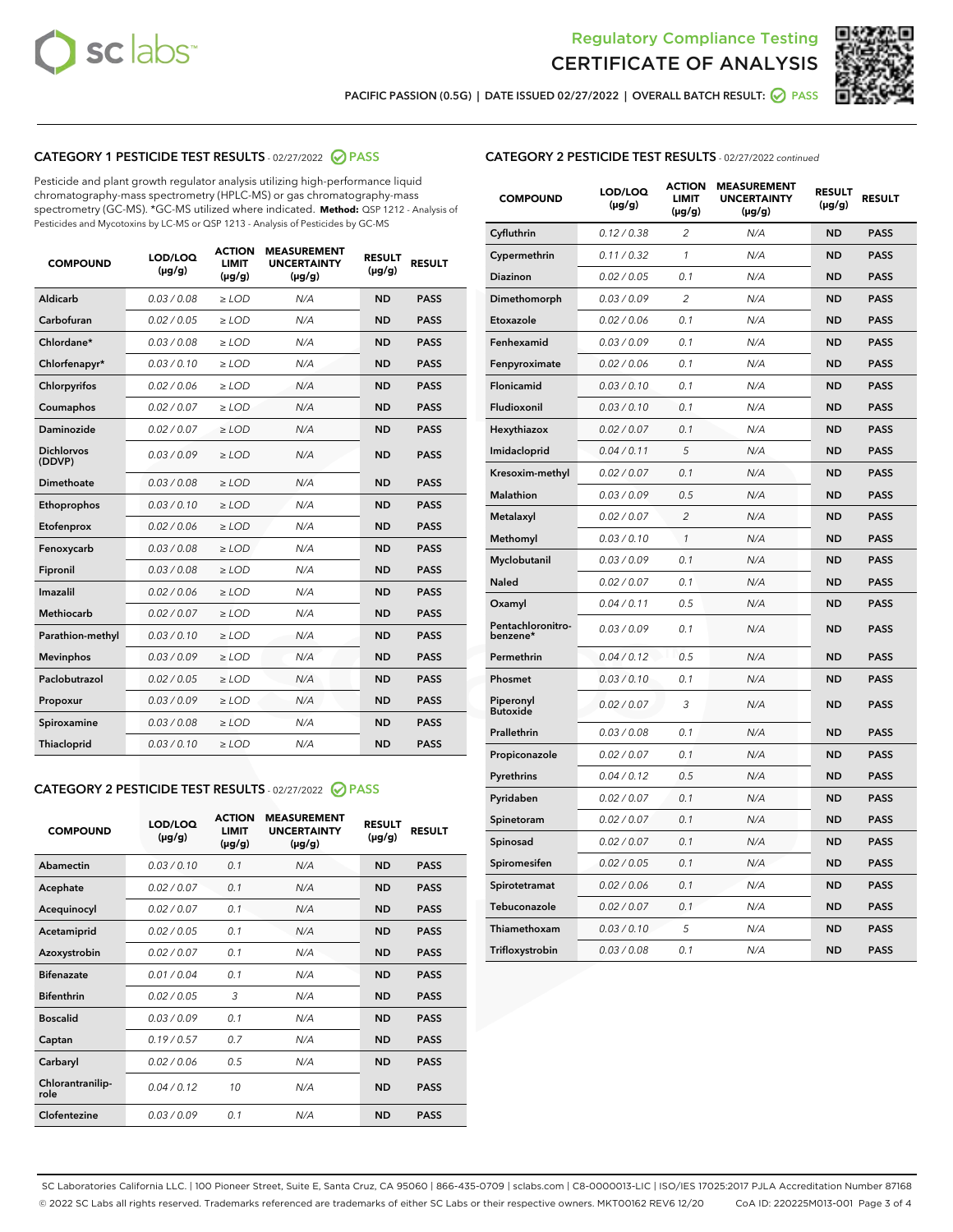



PACIFIC PASSION (0.5G) | DATE ISSUED 02/27/2022 | OVERALL BATCH RESULT: ○ PASS

# CATEGORY 1 PESTICIDE TEST RESULTS - 02/27/2022 2 PASS

Pesticide and plant growth regulator analysis utilizing high-performance liquid chromatography-mass spectrometry (HPLC-MS) or gas chromatography-mass spectrometry (GC-MS). \*GC-MS utilized where indicated. **Method:** QSP 1212 - Analysis of Pesticides and Mycotoxins by LC-MS or QSP 1213 - Analysis of Pesticides by GC-MS

| <b>COMPOUND</b>             | LOD/LOQ<br>$(\mu g/g)$ | <b>ACTION</b><br>LIMIT<br>$(\mu g/g)$ | <b>MEASUREMENT</b><br><b>UNCERTAINTY</b><br>$(\mu g/g)$ | <b>RESULT</b><br>$(\mu g/g)$ | <b>RESULT</b> |
|-----------------------------|------------------------|---------------------------------------|---------------------------------------------------------|------------------------------|---------------|
| <b>Aldicarb</b>             | 0.03 / 0.08            | $\geq$ LOD                            | N/A                                                     | <b>ND</b>                    | <b>PASS</b>   |
| Carbofuran                  | 0.02 / 0.05            | $\ge$ LOD                             | N/A                                                     | <b>ND</b>                    | <b>PASS</b>   |
| Chlordane*                  | 0.03/0.08              | $>$ LOD                               | N/A                                                     | <b>ND</b>                    | <b>PASS</b>   |
| Chlorfenapyr*               | 0.03/0.10              | $>$ LOD                               | N/A                                                     | <b>ND</b>                    | <b>PASS</b>   |
| Chlorpyrifos                | 0.02 / 0.06            | $>$ LOD                               | N/A                                                     | <b>ND</b>                    | <b>PASS</b>   |
| Coumaphos                   | 0.02 / 0.07            | $\geq$ LOD                            | N/A                                                     | <b>ND</b>                    | <b>PASS</b>   |
| <b>Daminozide</b>           | 0.02 / 0.07            | $\ge$ LOD                             | N/A                                                     | <b>ND</b>                    | <b>PASS</b>   |
| <b>Dichlorvos</b><br>(DDVP) | 0.03/0.09              | $\geq$ LOD                            | N/A                                                     | <b>ND</b>                    | <b>PASS</b>   |
| Dimethoate                  | 0.03 / 0.08            | $>$ LOD                               | N/A                                                     | <b>ND</b>                    | <b>PASS</b>   |
| Ethoprophos                 | 0.03/0.10              | $\geq$ LOD                            | N/A                                                     | <b>ND</b>                    | <b>PASS</b>   |
| Etofenprox                  | 0.02 / 0.06            | > LOD                                 | N/A                                                     | <b>ND</b>                    | <b>PASS</b>   |
| Fenoxycarb                  | 0.03 / 0.08            | $\geq$ LOD                            | N/A                                                     | <b>ND</b>                    | <b>PASS</b>   |
| Fipronil                    | 0.03 / 0.08            | $\ge$ LOD                             | N/A                                                     | <b>ND</b>                    | <b>PASS</b>   |
| Imazalil                    | 0.02 / 0.06            | $\ge$ LOD                             | N/A                                                     | <b>ND</b>                    | <b>PASS</b>   |
| <b>Methiocarb</b>           | 0.02 / 0.07            | $\ge$ LOD                             | N/A                                                     | <b>ND</b>                    | <b>PASS</b>   |
| Parathion-methyl            | 0.03/0.10              | > LOD                                 | N/A                                                     | <b>ND</b>                    | <b>PASS</b>   |
| <b>Mevinphos</b>            | 0.03/0.09              | $\ge$ LOD                             | N/A                                                     | <b>ND</b>                    | <b>PASS</b>   |
| Paclobutrazol               | 0.02 / 0.05            | $\ge$ LOD                             | N/A                                                     | <b>ND</b>                    | <b>PASS</b>   |
| Propoxur                    | 0.03 / 0.09            | $\geq$ LOD                            | N/A                                                     | <b>ND</b>                    | <b>PASS</b>   |
| Spiroxamine                 | 0.03 / 0.08            | $\ge$ LOD                             | N/A                                                     | <b>ND</b>                    | <b>PASS</b>   |
| Thiacloprid                 | 0.03/0.10              | $>$ LOD                               | N/A                                                     | <b>ND</b>                    | <b>PASS</b>   |

#### CATEGORY 2 PESTICIDE TEST RESULTS - 02/27/2022 @ PASS

| <b>COMPOUND</b>          | LOD/LOO<br>$(\mu g/g)$ | <b>ACTION</b><br>LIMIT<br>$(\mu g/g)$ | <b>MEASUREMENT</b><br><b>UNCERTAINTY</b><br>$(\mu g/g)$ | <b>RESULT</b><br>$(\mu g/g)$ | <b>RESULT</b> |  |
|--------------------------|------------------------|---------------------------------------|---------------------------------------------------------|------------------------------|---------------|--|
| Abamectin                | 0.03/0.10              | 0.1                                   | N/A                                                     | <b>ND</b>                    | <b>PASS</b>   |  |
| Acephate                 | 0.02/0.07              | 0.1                                   | N/A                                                     | <b>ND</b>                    | <b>PASS</b>   |  |
| Acequinocyl              | 0.02/0.07              | 0.1                                   | N/A                                                     | <b>ND</b>                    | <b>PASS</b>   |  |
| Acetamiprid              | 0.02 / 0.05            | 0.1                                   | N/A                                                     | <b>ND</b>                    | <b>PASS</b>   |  |
| Azoxystrobin             | 0.02/0.07              | 0.1                                   | N/A                                                     | <b>ND</b>                    | <b>PASS</b>   |  |
| <b>Bifenazate</b>        | 0.01/0.04              | 0.1                                   | N/A                                                     | <b>ND</b>                    | <b>PASS</b>   |  |
| <b>Bifenthrin</b>        | 0.02/0.05              | 3                                     | N/A                                                     | <b>ND</b>                    | <b>PASS</b>   |  |
| <b>Boscalid</b>          | 0.03/0.09              | 0.1                                   | N/A                                                     | <b>ND</b>                    | <b>PASS</b>   |  |
| Captan                   | 0.19/0.57              | 0.7                                   | N/A                                                     | <b>ND</b>                    | <b>PASS</b>   |  |
| Carbaryl                 | 0.02/0.06              | 0.5                                   | N/A                                                     | <b>ND</b>                    | <b>PASS</b>   |  |
| Chlorantranilip-<br>role | 0.04/0.12              | 10                                    | N/A                                                     | <b>ND</b>                    | <b>PASS</b>   |  |
| Clofentezine             | 0.03/0.09              | 0.1                                   | N/A                                                     | <b>ND</b>                    | <b>PASS</b>   |  |

#### CATEGORY 2 PESTICIDE TEST RESULTS - 02/27/2022 continued

| <b>COMPOUND</b>               | LOD/LOQ<br>(µg/g) | <b>ACTION</b><br>LIMIT<br>(µg/g) | <b>MEASUREMENT</b><br><b>UNCERTAINTY</b><br>(µg/g) | <b>RESULT</b><br>$(\mu g/g)$ | <b>RESULT</b> |
|-------------------------------|-------------------|----------------------------------|----------------------------------------------------|------------------------------|---------------|
| Cyfluthrin                    | 0.12 / 0.38       | 2                                | N/A                                                | <b>ND</b>                    | <b>PASS</b>   |
| Cypermethrin                  | 0.11 / 0.32       | $\mathcal{I}$                    | N/A                                                | <b>ND</b>                    | <b>PASS</b>   |
| Diazinon                      | 0.02 / 0.05       | 0.1                              | N/A                                                | <b>ND</b>                    | <b>PASS</b>   |
| Dimethomorph                  | 0.03 / 0.09       | 2                                | N/A                                                | <b>ND</b>                    | <b>PASS</b>   |
| Etoxazole                     | 0.02 / 0.06       | 0.1                              | N/A                                                | <b>ND</b>                    | <b>PASS</b>   |
| Fenhexamid                    | 0.03 / 0.09       | 0.1                              | N/A                                                | <b>ND</b>                    | <b>PASS</b>   |
| Fenpyroximate                 | 0.02 / 0.06       | 0.1                              | N/A                                                | <b>ND</b>                    | <b>PASS</b>   |
| Flonicamid                    | 0.03 / 0.10       | 0.1                              | N/A                                                | <b>ND</b>                    | <b>PASS</b>   |
| Fludioxonil                   | 0.03 / 0.10       | 0.1                              | N/A                                                | <b>ND</b>                    | <b>PASS</b>   |
| Hexythiazox                   | 0.02 / 0.07       | 0.1                              | N/A                                                | <b>ND</b>                    | <b>PASS</b>   |
| Imidacloprid                  | 0.04 / 0.11       | 5                                | N/A                                                | <b>ND</b>                    | <b>PASS</b>   |
| Kresoxim-methyl               | 0.02 / 0.07       | 0.1                              | N/A                                                | <b>ND</b>                    | <b>PASS</b>   |
| <b>Malathion</b>              | 0.03 / 0.09       | 0.5                              | N/A                                                | <b>ND</b>                    | <b>PASS</b>   |
| Metalaxyl                     | 0.02 / 0.07       | $\overline{c}$                   | N/A                                                | <b>ND</b>                    | <b>PASS</b>   |
| Methomyl                      | 0.03 / 0.10       | $\mathcal{I}$                    | N/A                                                | <b>ND</b>                    | <b>PASS</b>   |
| Myclobutanil                  | 0.03 / 0.09       | 0.1                              | N/A                                                | <b>ND</b>                    | <b>PASS</b>   |
| <b>Naled</b>                  | 0.02 / 0.07       | 0.1                              | N/A                                                | <b>ND</b>                    | <b>PASS</b>   |
| Oxamyl                        | 0.04 / 0.11       | 0.5                              | N/A                                                | <b>ND</b>                    | <b>PASS</b>   |
| Pentachloronitro-<br>benzene* | 0.03/0.09         | 0.1                              | N/A                                                | <b>ND</b>                    | <b>PASS</b>   |
| Permethrin                    | 0.04 / 0.12       | 0.5                              | N/A                                                | <b>ND</b>                    | <b>PASS</b>   |
| Phosmet                       | 0.03 / 0.10       | 0.1                              | N/A                                                | <b>ND</b>                    | <b>PASS</b>   |
| Piperonyl<br><b>Butoxide</b>  | 0.02 / 0.07       | 3                                | N/A                                                | <b>ND</b>                    | <b>PASS</b>   |
| Prallethrin                   | 0.03 / 0.08       | 0.1                              | N/A                                                | <b>ND</b>                    | <b>PASS</b>   |
| Propiconazole                 | 0.02 / 0.07       | 0.1                              | N/A                                                | <b>ND</b>                    | <b>PASS</b>   |
| Pyrethrins                    | 0.04 / 0.12       | 0.5                              | N/A                                                | <b>ND</b>                    | <b>PASS</b>   |
| Pyridaben                     | 0.02 / 0.07       | 0.1                              | N/A                                                | <b>ND</b>                    | <b>PASS</b>   |
| Spinetoram                    | 0.02 / 0.07       | 0.1                              | N/A                                                | <b>ND</b>                    | <b>PASS</b>   |
| Spinosad                      | 0.02 / 0.07       | 0.1                              | N/A                                                | <b>ND</b>                    | <b>PASS</b>   |
| Spiromesifen                  | 0.02 / 0.05       | 0.1                              | N/A                                                | <b>ND</b>                    | <b>PASS</b>   |
| Spirotetramat                 | 0.02 / 0.06       | 0.1                              | N/A                                                | <b>ND</b>                    | <b>PASS</b>   |
| Tebuconazole                  | 0.02 / 0.07       | 0.1                              | N/A                                                | <b>ND</b>                    | <b>PASS</b>   |
| Thiamethoxam                  | 0.03 / 0.10       | 5                                | N/A                                                | <b>ND</b>                    | <b>PASS</b>   |
| Trifloxystrobin               | 0.03 / 0.08       | 0.1                              | N/A                                                | <b>ND</b>                    | <b>PASS</b>   |

SC Laboratories California LLC. | 100 Pioneer Street, Suite E, Santa Cruz, CA 95060 | 866-435-0709 | sclabs.com | C8-0000013-LIC | ISO/IES 17025:2017 PJLA Accreditation Number 87168 © 2022 SC Labs all rights reserved. Trademarks referenced are trademarks of either SC Labs or their respective owners. MKT00162 REV6 12/20 CoA ID: 220225M013-001 Page 3 of 4